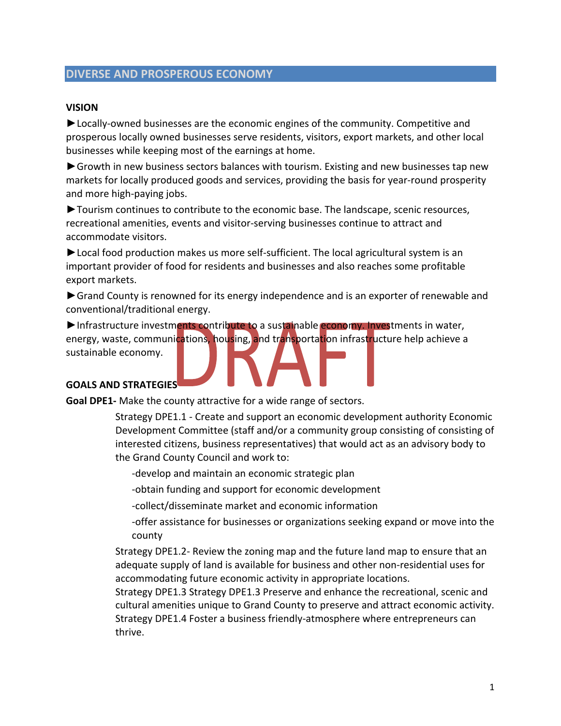# **DIVERSE AND PROSPEROUS ECONOMY**

#### **VISION**

►Locally‐owned businesses are the economic engines of the community. Competitive and prosperous locally owned businesses serve residents, visitors, export markets, and other local businesses while keeping most of the earnings at home.

► Growth in new business sectors balances with tourism. Existing and new businesses tap new markets for locally produced goods and services, providing the basis for year-round prosperity and more high‐paying jobs.

►Tourism continues to contribute to the economic base. The landscape, scenic resources, recreational amenities, events and visitor‐serving businesses continue to attract and accommodate visitors.

►Local food production makes us more self‐sufficient. The local agricultural system is an important provider of food for residents and businesses and also reaches some profitable export markets.

►Grand County is renowned for its energy independence and is an exporter of renewable and conventional/traditional energy.

► Infrastructure investments contribute to a sustainable economy. Investments in water, energy, waste, communications, housing, and transportation infrastructure help achieve a sustainable economy.

#### **GOALS AND STRATEGIES**

**Goal DPE1‐** Make the county attractive for a wide range of sectors.

Strategy DPE1.1 ‐ Create and support an economic development authority Economic Development Committee (staff and/or a community group consisting of consisting of interested citizens, business representatives) that would act as an advisory body to the Grand County Council and work to:

‐develop and maintain an economic strategic plan

‐obtain funding and support for economic development

‐collect/disseminate market and economic information

‐offer assistance for businesses or organizations seeking expand or move into the county

Strategy DPE1.2‐ Review the zoning map and the future land map to ensure that an adequate supply of land is available for business and other non‐residential uses for accommodating future economic activity in appropriate locations.

Strategy DPE1.3 Strategy DPE1.3 Preserve and enhance the recreational, scenic and cultural amenities unique to Grand County to preserve and attract economic activity. Strategy DPE1.4 Foster a business friendly‐atmosphere where entrepreneurs can thrive.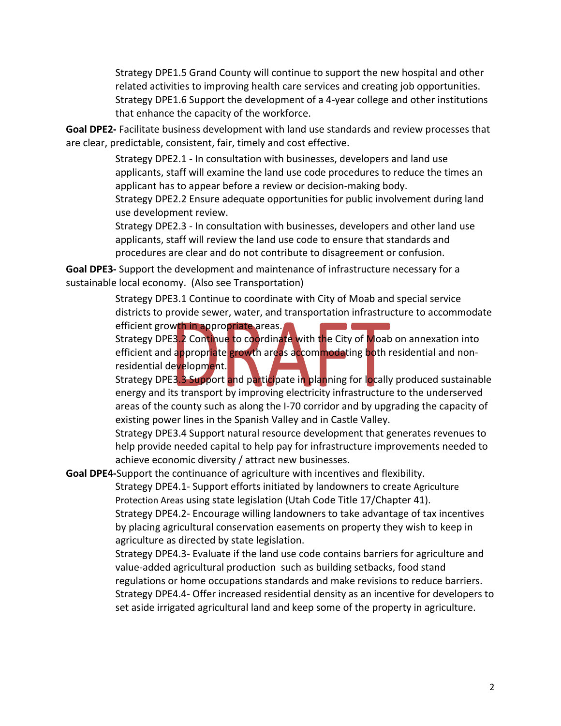Strategy DPE1.5 Grand County will continue to support the new hospital and other related activities to improving health care services and creating job opportunities. Strategy DPE1.6 Support the development of a 4‐year college and other institutions that enhance the capacity of the workforce.

**Goal DPE2‐** Facilitate business development with land use standards and review processes that are clear, predictable, consistent, fair, timely and cost effective.

> Strategy DPE2.1 ‐ In consultation with businesses, developers and land use applicants, staff will examine the land use code procedures to reduce the times an applicant has to appear before a review or decision‐making body.

> Strategy DPE2.2 Ensure adequate opportunities for public involvement during land use development review.

Strategy DPE2.3 ‐ In consultation with businesses, developers and other land use applicants, staff will review the land use code to ensure that standards and procedures are clear and do not contribute to disagreement or confusion.

**Goal DPE3‐** Support the development and maintenance of infrastructure necessary for a sustainable local economy. (Also see Transportation)

> Strategy DPE3.1 Continue to coordinate with City of Moab and special service districts to provide sewer, water, and transportation infrastructure to accommodate

efficient growth in appropriate areas. Strategy DPE3.2 Continue to coordinate with the City of Moab on annexation into efficient and appropriate growth areas accommodating both residential and nonresidential development.

Strategy DPE3.3 Support and participate in planning for locally produced sustainable energy and its transport by improving electricity infrastructure to the underserved areas of the county such as along the I‐70 corridor and by upgrading the capacity of existing power lines in the Spanish Valley and in Castle Valley.

Strategy DPE3.4 Support natural resource development that generates revenues to help provide needed capital to help pay for infrastructure improvements needed to achieve economic diversity / attract new businesses.

**Goal DPE4‐**Support the continuance of agriculture with incentives and flexibility.

Strategy DPE4.1‐ Support efforts initiated by landowners to create Agriculture Protection Areas using state legislation (Utah Code Title 17/Chapter 41). Strategy DPE4.2‐ Encourage willing landowners to take advantage of tax incentives by placing agricultural conservation easements on property they wish to keep in agriculture as directed by state legislation.

Strategy DPE4.3‐ Evaluate if the land use code contains barriers for agriculture and value‐added agricultural production such as building setbacks, food stand regulations or home occupations standards and make revisions to reduce barriers. Strategy DPE4.4‐ Offer increased residential density as an incentive for developers to set aside irrigated agricultural land and keep some of the property in agriculture.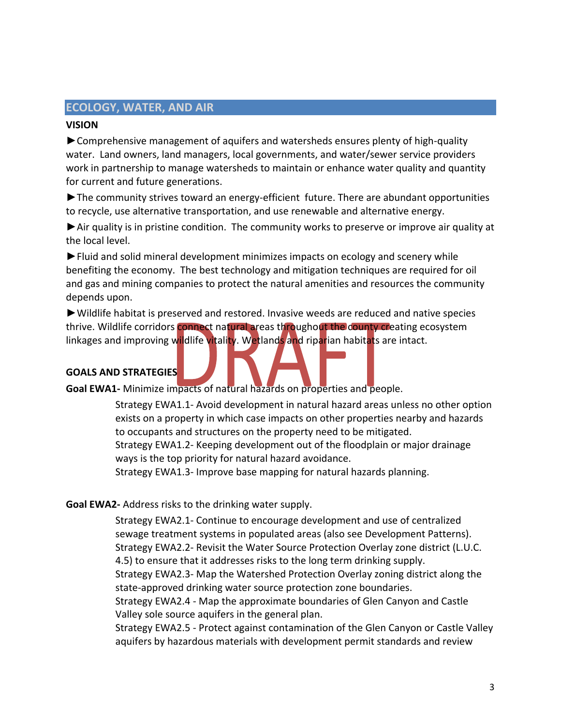# **ECOLOGY, WATER, AND AIR**

#### **VISION**

►Comprehensive management of aquifers and watersheds ensures plenty of high‐quality water. Land owners, land managers, local governments, and water/sewer service providers work in partnership to manage watersheds to maintain or enhance water quality and quantity for current and future generations.

►The community strives toward an energy‐efficient future. There are abundant opportunities to recycle, use alternative transportation, and use renewable and alternative energy.

►Air quality is in pristine condition. The community works to preserve or improve air quality at the local level.

►Fluid and solid mineral development minimizes impacts on ecology and scenery while benefiting the economy. The best technology and mitigation techniques are required for oil and gas and mining companies to protect the natural amenities and resources the community depends upon.

►Wildlife habitat is preserved and restored. Invasive weeds are reduced and native species thrive. Wildlife corridors connect natural areas throughout the county creating ecosystem linkages and improving wildlife vitality. Wetlands and riparian habitats are intact.

# **GOALS AND STRATEGIES**

**Goal EWA1‐** Minimize impacts of natural hazards on properties and people.

Strategy EWA1.1‐ Avoid development in natural hazard areas unless no other option exists on a property in which case impacts on other properties nearby and hazards to occupants and structures on the property need to be mitigated. Strategy EWA1.2‐ Keeping development out of the floodplain or major drainage ways is the top priority for natural hazard avoidance.

Strategy EWA1.3‐ Improve base mapping for natural hazards planning.

#### **Goal EWA2‐** Address risks to the drinking water supply.

Strategy EWA2.1‐ Continue to encourage development and use of centralized sewage treatment systems in populated areas (also see Development Patterns). Strategy EWA2.2‐ Revisit the Water Source Protection Overlay zone district (L.U.C. 4.5) to ensure that it addresses risks to the long term drinking supply. Strategy EWA2.3‐ Map the Watershed Protection Overlay zoning district along the state‐approved drinking water source protection zone boundaries. Strategy EWA2.4 ‐ Map the approximate boundaries of Glen Canyon and Castle

Valley sole source aquifers in the general plan.

Strategy EWA2.5 ‐ Protect against contamination of the Glen Canyon or Castle Valley aquifers by hazardous materials with development permit standards and review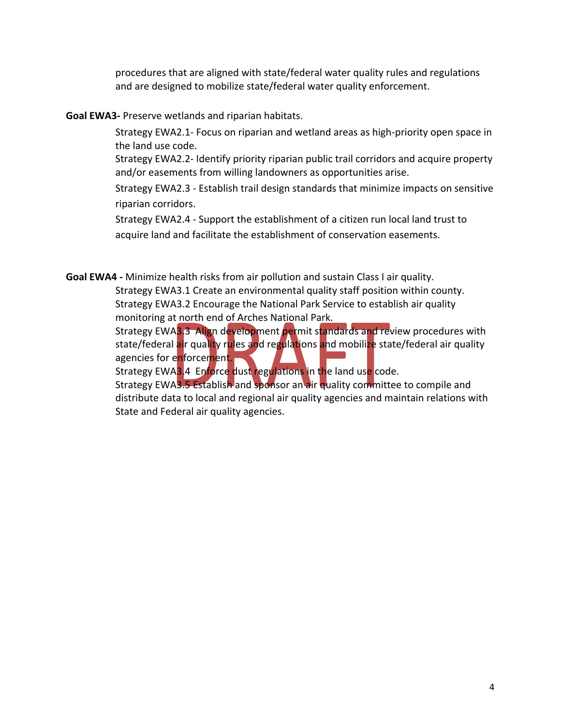procedures that are aligned with state/federal water quality rules and regulations and are designed to mobilize state/federal water quality enforcement.

**Goal EWA3‐** Preserve wetlands and riparian habitats.

Strategy EWA2.1‐ Focus on riparian and wetland areas as high‐priority open space in the land use code.

Strategy EWA2.2‐ Identify priority riparian public trail corridors and acquire property and/or easements from willing landowners as opportunities arise.

Strategy EWA2.3 ‐ Establish trail design standards that minimize impacts on sensitive riparian corridors.

Strategy EWA2.4 ‐ Support the establishment of a citizen run local land trust to acquire land and facilitate the establishment of conservation easements.

**Goal EWA4 ‐** Minimize health risks from air pollution and sustain Class I air quality.

Strategy EWA3.1 Create an environmental quality staff position within county. Strategy EWA3.2 Encourage the National Park Service to establish air quality monitoring at north end of Arches National Park.

Strategy EWA3.3 Align development permit standards and review procedures with state/federal air quality rules and regulations and mobilize state/federal air quality agencies for enforcement.

Strategy EWA3.4 Enforce dust regulations in the land use code.

Strategy EWA3.5 Establish and sponsor an air quality committee to compile and distribute data to local and regional air quality agencies and maintain relations with State and Federal air quality agencies.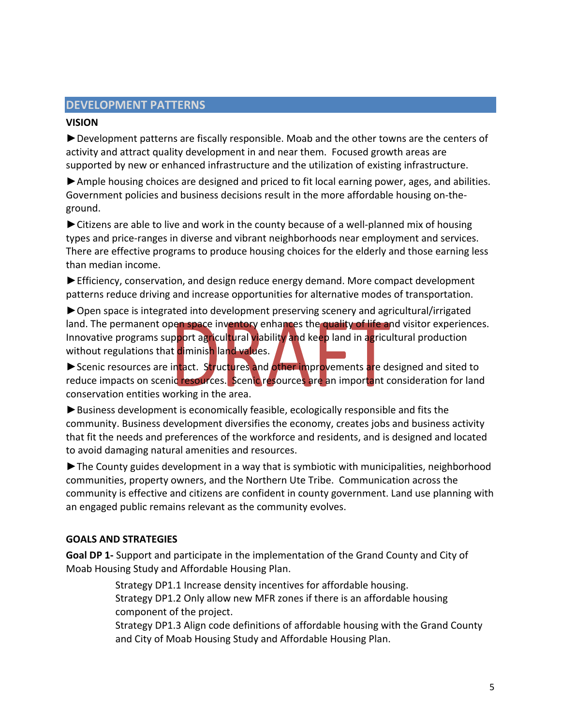#### **DEVELOPMENT PATTERNS**

#### **VISION**

►Development patterns are fiscally responsible. Moab and the other towns are the centers of activity and attract quality development in and near them. Focused growth areas are supported by new or enhanced infrastructure and the utilization of existing infrastructure.

►Ample housing choices are designed and priced to fit local earning power, ages, and abilities. Government policies and business decisions result in the more affordable housing on-theground.

► Citizens are able to live and work in the county because of a well-planned mix of housing types and price‐ranges in diverse and vibrant neighborhoods near employment and services. There are effective programs to produce housing choices for the elderly and those earning less than median income.

►Efficiency, conservation, and design reduce energy demand. More compact development patterns reduce driving and increase opportunities for alternative modes of transportation.

►Open space is integrated into development preserving scenery and agricultural/irrigated land. The permanent open space inventory enhances the quality of life and visitor experiences. Innovative programs support agricultural viability and keep land in agricultural production without regulations that diminish land values.

► Scenic resources are intact. Structures and other improvements are designed and sited to reduce impacts on scenic resources. Scenic resources are an important consideration for land conservation entities working in the area.

►Business development is economically feasible, ecologically responsible and fits the community. Business development diversifies the economy, creates jobs and business activity that fit the needs and preferences of the workforce and residents, and is designed and located to avoid damaging natural amenities and resources.

►The County guides development in a way that is symbiotic with municipalities, neighborhood communities, property owners, and the Northern Ute Tribe. Communication across the community is effective and citizens are confident in county government. Land use planning with an engaged public remains relevant as the community evolves.

#### **GOALS AND STRATEGIES**

**Goal DP 1‐** Support and participate in the implementation of the Grand County and City of Moab Housing Study and Affordable Housing Plan.

> Strategy DP1.1 Increase density incentives for affordable housing. Strategy DP1.2 Only allow new MFR zones if there is an affordable housing component of the project.

Strategy DP1.3 Align code definitions of affordable housing with the Grand County and City of Moab Housing Study and Affordable Housing Plan.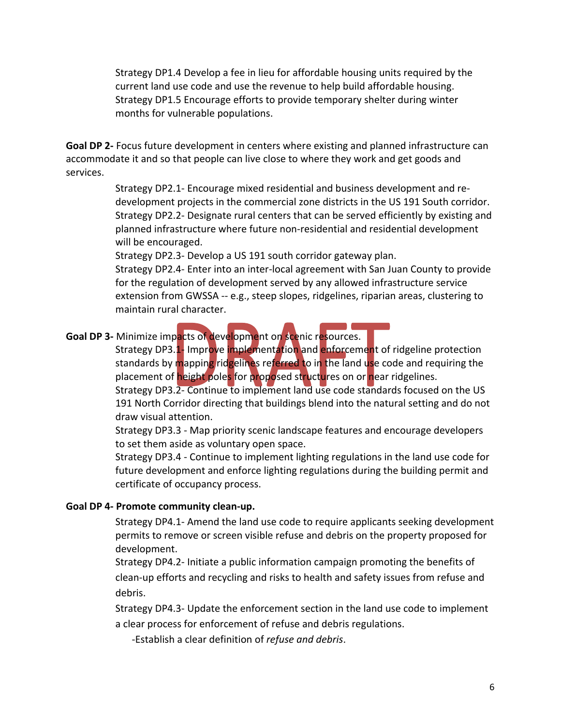Strategy DP1.4 Develop a fee in lieu for affordable housing units required by the current land use code and use the revenue to help build affordable housing. Strategy DP1.5 Encourage efforts to provide temporary shelter during winter months for vulnerable populations.

**Goal DP 2‐** Focus future development in centers where existing and planned infrastructure can accommodate it and so that people can live close to where they work and get goods and services.

> Strategy DP2.1‐ Encourage mixed residential and business development and re‐ development projects in the commercial zone districts in the US 191 South corridor. Strategy DP2.2‐ Designate rural centers that can be served efficiently by existing and planned infrastructure where future non‐residential and residential development will be encouraged.

Strategy DP2.3‐ Develop a US 191 south corridor gateway plan.

Strategy DP2.4‐ Enter into an inter‐local agreement with San Juan County to provide for the regulation of development served by any allowed infrastructure service extension from GWSSA ‐‐ e.g., steep slopes, ridgelines, riparian areas, clustering to maintain rural character.

#### **Goal DP 3‐** Minimize impacts of development on scenic resources.

Strategy DP3.1- Improve implementation and enforcement of ridgeline protection standards by mapping ridgelines referred to in the land use code and requiring the placement of height poles for proposed structures on or near ridgelines.

Strategy DP3.2‐ Continue to implement land use code standards focused on the US 191 North Corridor directing that buildings blend into the natural setting and do not draw visual attention.

Strategy DP3.3 ‐ Map priority scenic landscape features and encourage developers to set them aside as voluntary open space.

Strategy DP3.4 ‐ Continue to implement lighting regulations in the land use code for future development and enforce lighting regulations during the building permit and certificate of occupancy process.

#### **Goal DP 4‐ Promote community clean‐up.**

Strategy DP4.1‐ Amend the land use code to require applicants seeking development permits to remove or screen visible refuse and debris on the property proposed for development.

Strategy DP4.2‐ Initiate a public information campaign promoting the benefits of clean‐up efforts and recycling and risks to health and safety issues from refuse and debris.

Strategy DP4.3‐ Update the enforcement section in the land use code to implement a clear process for enforcement of refuse and debris regulations.

‐Establish a clear definition of *refuse and debris*.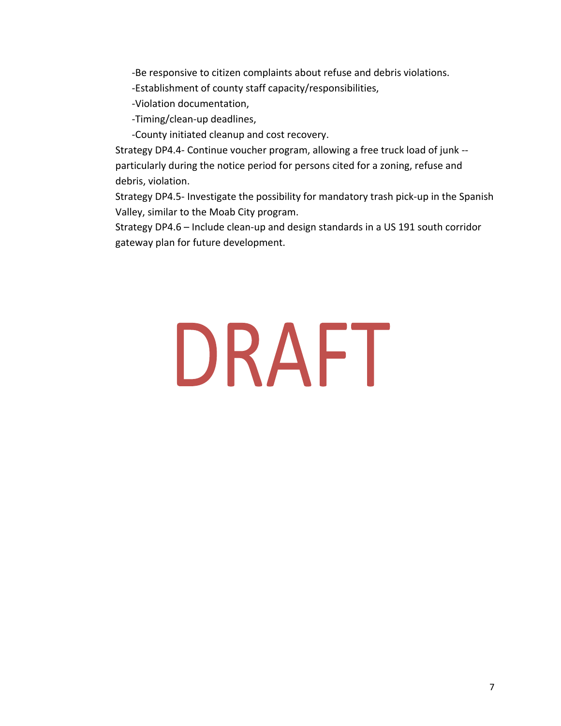‐Be responsive to citizen complaints about refuse and debris violations.

‐Establishment of county staff capacity/responsibilities,

‐Violation documentation,

‐Timing/clean‐up deadlines,

‐County initiated cleanup and cost recovery.

Strategy DP4.4‐ Continue voucher program, allowing a free truck load of junk ‐‐ particularly during the notice period for persons cited for a zoning, refuse and debris, violation.

Strategy DP4.5‐ Investigate the possibility for mandatory trash pick‐up in the Spanish Valley, similar to the Moab City program.

Strategy DP4.6 – Include clean‐up and design standards in a US 191 south corridor gateway plan for future development.

# DRAFT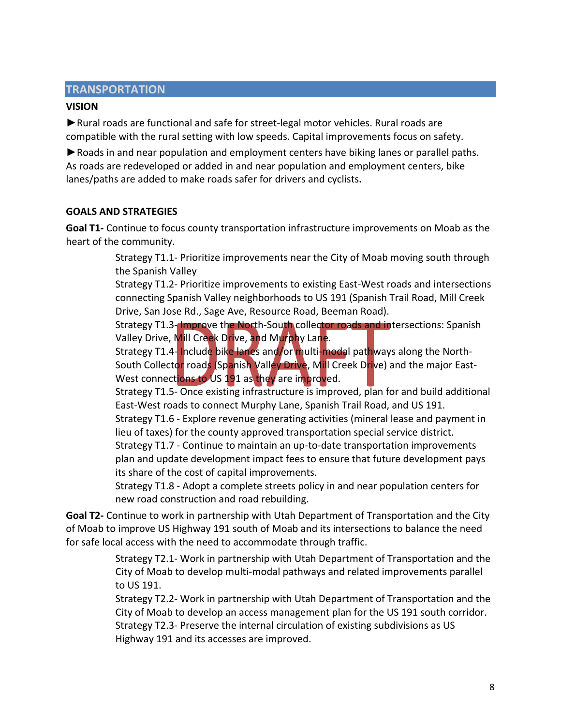#### **TRANSPORTATION**

#### **VISION**

►Rural roads are functional and safe for street‐legal motor vehicles. Rural roads are compatible with the rural setting with low speeds. Capital improvements focus on safety.

► Roads in and near population and employment centers have biking lanes or parallel paths. As roads are redeveloped or added in and near population and employment centers, bike lanes/paths are added to make roads safer for drivers and cyclists**.** 

#### **GOALS AND STRATEGIES**

**Goal T1‐** Continue to focus county transportation infrastructure improvements on Moab as the heart of the community.

> Strategy T1.1‐ Prioritize improvements near the City of Moab moving south through the Spanish Valley

> Strategy T1.2‐ Prioritize improvements to existing East‐West roads and intersections connecting Spanish Valley neighborhoods to US 191 (Spanish Trail Road, Mill Creek Drive, San Jose Rd., Sage Ave, Resource Road, Beeman Road).

Strategy T1.3-Improve the North-South collector roads and intersections: Spanish Valley Drive, Mill Creek Drive, and Murphy Lane.

Strategy T1.4- Include bike lanes and/or multi-modal pathways along the North-South Collector roads (Spanish Valley Drive, Mill Creek Drive) and the major East-West connections to US 191 as they are improved.

Strategy T1.5‐ Once existing infrastructure is improved, plan for and build additional East‐West roads to connect Murphy Lane, Spanish Trail Road, and US 191.

Strategy T1.6 ‐ Explore revenue generating activities (mineral lease and payment in lieu of taxes) for the county approved transportation special service district.

Strategy T1.7 ‐ Continue to maintain an up‐to‐date transportation improvements plan and update development impact fees to ensure that future development pays its share of the cost of capital improvements.

Strategy T1.8 ‐ Adopt a complete streets policy in and near population centers for new road construction and road rebuilding.

**Goal T2‐** Continue to work in partnership with Utah Department of Transportation and the City of Moab to improve US Highway 191 south of Moab and its intersections to balance the need for safe local access with the need to accommodate through traffic.

> Strategy T2.1‐ Work in partnership with Utah Department of Transportation and the City of Moab to develop multi‐modal pathways and related improvements parallel to US 191.

> Strategy T2.2‐ Work in partnership with Utah Department of Transportation and the City of Moab to develop an access management plan for the US 191 south corridor. Strategy T2.3‐ Preserve the internal circulation of existing subdivisions as US Highway 191 and its accesses are improved.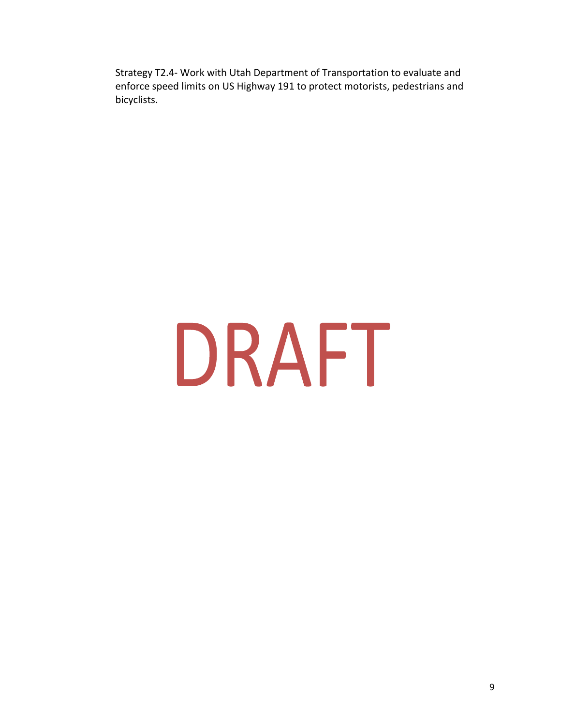Strategy T2.4‐ Work with Utah Department of Transportation to evaluate and enforce speed limits on US Highway 191 to protect motorists, pedestrians and bicyclists.

# DRAFT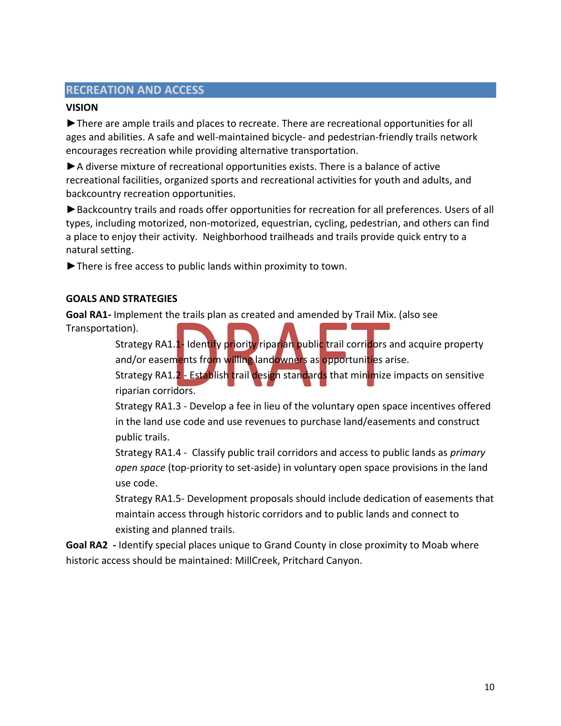# **RECREATION AND ACCESS**

#### **VISION**

►There are ample trails and places to recreate. There are recreational opportunities for all ages and abilities. A safe and well‐maintained bicycle‐ and pedestrian‐friendly trails network encourages recreation while providing alternative transportation.

►A diverse mixture of recreational opportunities exists. There is a balance of active recreational facilities, organized sports and recreational activities for youth and adults, and backcountry recreation opportunities.

►Backcountry trails and roads offer opportunities for recreation for all preferences. Users of all types, including motorized, non‐motorized, equestrian, cycling, pedestrian, and others can find a place to enjoy their activity. Neighborhood trailheads and trails provide quick entry to a natural setting.

►There is free access to public lands within proximity to town.

#### **GOALS AND STRATEGIES**

**Goal RA1‐** Implement the trails plan as created and amended by Trail Mix. (also see Transportation).

> Strategy RA1.1- Identify priority riparian public trail corridors and acquire property and/or easements from willing landowners as opportunities arise.

> Strategy RA1.2 - Establish trail design standards that minimize impacts on sensitive riparian corridors.

Strategy RA1.3 ‐ Develop a fee in lieu of the voluntary open space incentives offered in the land use code and use revenues to purchase land/easements and construct public trails.

Strategy RA1.4 ‐ Classify public trail corridors and access to public lands as *primary open space* (top‐priority to set‐aside) in voluntary open space provisions in the land use code.

Strategy RA1.5‐ Development proposals should include dedication of easements that maintain access through historic corridors and to public lands and connect to existing and planned trails.

**Goal RA2 ‐** Identify special places unique to Grand County in close proximity to Moab where historic access should be maintained: MillCreek, Pritchard Canyon.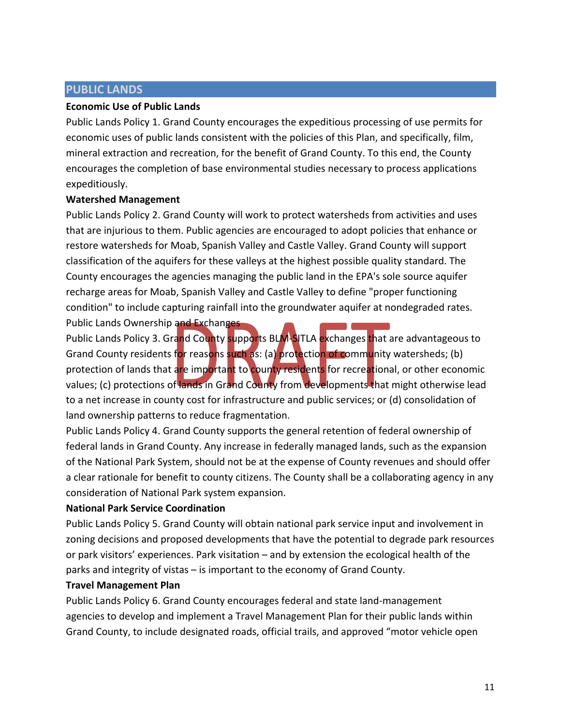#### **PUBLIC LANDS**

#### **Economic Use of Public Lands**

Public Lands Policy 1. Grand County encourages the expeditious processing of use permits for economic uses of public lands consistent with the policies of this Plan, and specifically, film, mineral extraction and recreation, for the benefit of Grand County. To this end, the County encourages the completion of base environmental studies necessary to process applications expeditiously.

#### **Watershed Management**

Public Lands Policy 2. Grand County will work to protect watersheds from activities and uses that are injurious to them. Public agencies are encouraged to adopt policies that enhance or restore watersheds for Moab, Spanish Valley and Castle Valley. Grand County will support classification of the aquifers for these valleys at the highest possible quality standard. The County encourages the agencies managing the public land in the EPA's sole source aquifer recharge areas for Moab, Spanish Valley and Castle Valley to define "proper functioning condition" to include capturing rainfall into the groundwater aquifer at nondegraded rates.

Public Lands Ownership and Exchanges

Public Lands Policy 3. Grand County supports BLM‐SITLA exchanges that are advantageous to Grand County residents for reasons such as: (a) protection of community watersheds; (b) protection of lands that are important to county residents for recreational, or other economic values; (c) protections of lands in Grand County from developments that might otherwise lead to a net increase in county cost for infrastructure and public services; or (d) consolidation of land ownership patterns to reduce fragmentation.

Public Lands Policy 4. Grand County supports the general retention of federal ownership of federal lands in Grand County. Any increase in federally managed lands, such as the expansion of the National Park System, should not be at the expense of County revenues and should offer a clear rationale for benefit to county citizens. The County shall be a collaborating agency in any consideration of National Park system expansion.

#### **National Park Service Coordination**

Public Lands Policy 5. Grand County will obtain national park service input and involvement in zoning decisions and proposed developments that have the potential to degrade park resources or park visitors' experiences. Park visitation – and by extension the ecological health of the parks and integrity of vistas – is important to the economy of Grand County.

#### **Travel Management Plan**

Public Lands Policy 6. Grand County encourages federal and state land‐management agencies to develop and implement a Travel Management Plan for their public lands within Grand County, to include designated roads, official trails, and approved "motor vehicle open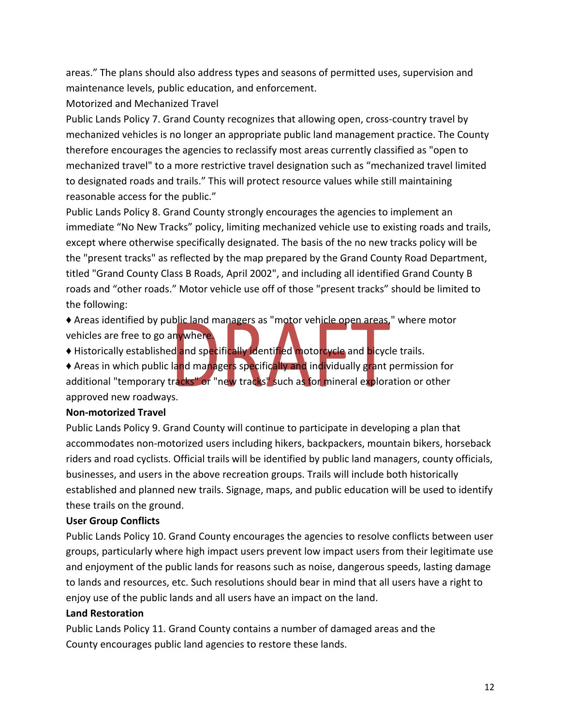areas." The plans should also address types and seasons of permitted uses, supervision and maintenance levels, public education, and enforcement.

Motorized and Mechanized Travel

Public Lands Policy 7. Grand County recognizes that allowing open, cross‐country travel by mechanized vehicles is no longer an appropriate public land management practice. The County therefore encourages the agencies to reclassify most areas currently classified as "open to mechanized travel" to a more restrictive travel designation such as "mechanized travel limited to designated roads and trails." This will protect resource values while still maintaining reasonable access for the public."

Public Lands Policy 8. Grand County strongly encourages the agencies to implement an immediate "No New Tracks" policy, limiting mechanized vehicle use to existing roads and trails, except where otherwise specifically designated. The basis of the no new tracks policy will be the "present tracks" as reflected by the map prepared by the Grand County Road Department, titled "Grand County Class B Roads, April 2002", and including all identified Grand County B roads and "other roads." Motor vehicle use off of those "present tracks" should be limited to the following:

♦ Areas identified by public land managers as "motor vehicle open areas," where motor vehicles are free to go anywhere.

♦ Historically established and specifically identified motorcycle and bicycle trails.

♦ Areas in which public land managers specifically and individually grant permission for additional "temporary tracks" or "new tracks" such as for mineral exploration or other approved new roadways.

#### **Non‐motorized Travel**

Public Lands Policy 9. Grand County will continue to participate in developing a plan that accommodates non‐motorized users including hikers, backpackers, mountain bikers, horseback riders and road cyclists. Official trails will be identified by public land managers, county officials, businesses, and users in the above recreation groups. Trails will include both historically established and planned new trails. Signage, maps, and public education will be used to identify these trails on the ground.

# **User Group Conflicts**

Public Lands Policy 10. Grand County encourages the agencies to resolve conflicts between user groups, particularly where high impact users prevent low impact users from their legitimate use and enjoyment of the public lands for reasons such as noise, dangerous speeds, lasting damage to lands and resources, etc. Such resolutions should bear in mind that all users have a right to enjoy use of the public lands and all users have an impact on the land.

#### **Land Restoration**

Public Lands Policy 11. Grand County contains a number of damaged areas and the County encourages public land agencies to restore these lands.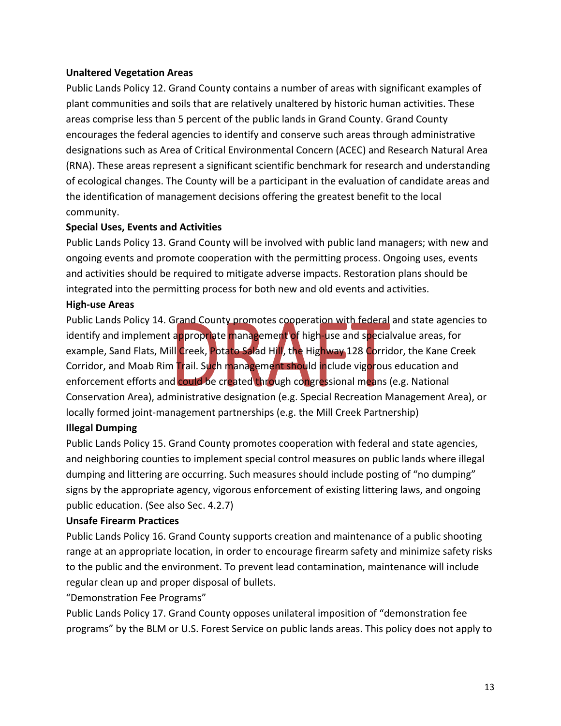#### **Unaltered Vegetation Areas**

Public Lands Policy 12. Grand County contains a number of areas with significant examples of plant communities and soils that are relatively unaltered by historic human activities. These areas comprise less than 5 percent of the public lands in Grand County. Grand County encourages the federal agencies to identify and conserve such areas through administrative designations such as Area of Critical Environmental Concern (ACEC) and Research Natural Area (RNA). These areas represent a significant scientific benchmark for research and understanding of ecological changes. The County will be a participant in the evaluation of candidate areas and the identification of management decisions offering the greatest benefit to the local community.

#### **Special Uses, Events and Activities**

Public Lands Policy 13. Grand County will be involved with public land managers; with new and ongoing events and promote cooperation with the permitting process. Ongoing uses, events and activities should be required to mitigate adverse impacts. Restoration plans should be integrated into the permitting process for both new and old events and activities.

#### **High‐use Areas**

Public Lands Policy 14. Grand County promotes cooperation with federal and state agencies to identify and implement appropriate management of high‐use and specialvalue areas, for example, Sand Flats, Mill Creek, Potato Salad Hill, the Highway 128 Corridor, the Kane Creek Corridor, and Moab Rim Trail. Such management should include vigorous education and enforcement efforts and could be created through congressional means (e.g. National Conservation Area), administrative designation (e.g. Special Recreation Management Area), or locally formed joint‐management partnerships (e.g. the Mill Creek Partnership)

#### **Illegal Dumping**

Public Lands Policy 15. Grand County promotes cooperation with federal and state agencies, and neighboring counties to implement special control measures on public lands where illegal dumping and littering are occurring. Such measures should include posting of "no dumping" signs by the appropriate agency, vigorous enforcement of existing littering laws, and ongoing public education. (See also Sec. 4.2.7)

#### **Unsafe Firearm Practices**

Public Lands Policy 16. Grand County supports creation and maintenance of a public shooting range at an appropriate location, in order to encourage firearm safety and minimize safety risks to the public and the environment. To prevent lead contamination, maintenance will include regular clean up and proper disposal of bullets.

"Demonstration Fee Programs"

Public Lands Policy 17. Grand County opposes unilateral imposition of "demonstration fee programs" by the BLM or U.S. Forest Service on public lands areas. This policy does not apply to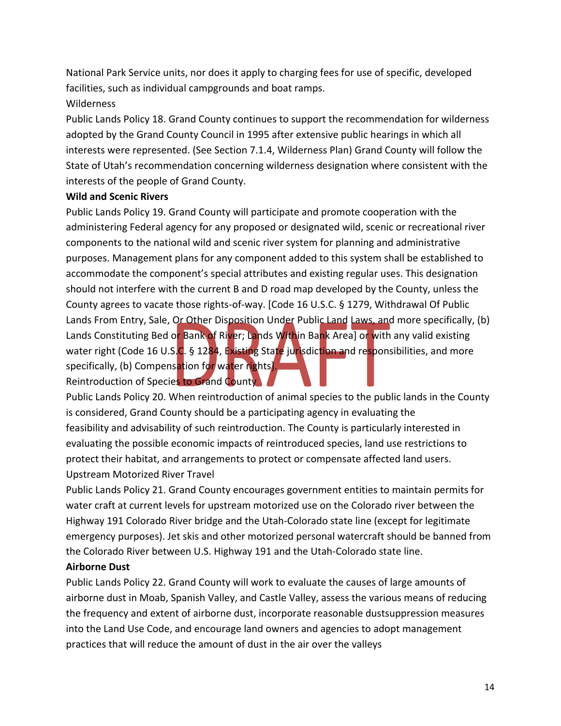National Park Service units, nor does it apply to charging fees for use of specific, developed facilities, such as individual campgrounds and boat ramps. Wilderness

# Public Lands Policy 18. Grand County continues to support the recommendation for wilderness adopted by the Grand County Council in 1995 after extensive public hearings in which all interests were represented. (See Section 7.1.4, Wilderness Plan) Grand County will follow the State of Utah's recommendation concerning wilderness designation where consistent with the interests of the people of Grand County.

#### **Wild and Scenic Rivers**

Public Lands Policy 19. Grand County will participate and promote cooperation with the administering Federal agency for any proposed or designated wild, scenic or recreational river components to the national wild and scenic river system for planning and administrative purposes. Management plans for any component added to this system shall be established to accommodate the component's special attributes and existing regular uses. This designation should not interfere with the current B and D road map developed by the County, unless the County agrees to vacate those rights‐of‐way. [Code 16 U.S.C. § 1279, Withdrawal Of Public Lands From Entry, Sale, Or Other Disposition Under Public Land Laws, and more specifically, (b) Lands Constituting Bed or Bank of River; Lands Within Bank Area] or with any valid existing water right (Code 16 U.S.C. § 1284, Existing State jurisdiction and responsibilities, and more specifically, (b) Compensation for water rights]. Reintroduction of Species to Grand County

Public Lands Policy 20. When reintroduction of animal species to the public lands in the County is considered, Grand County should be a participating agency in evaluating the feasibility and advisability of such reintroduction. The County is particularly interested in evaluating the possible economic impacts of reintroduced species, land use restrictions to protect their habitat, and arrangements to protect or compensate affected land users. Upstream Motorized River Travel

Public Lands Policy 21. Grand County encourages government entities to maintain permits for water craft at current levels for upstream motorized use on the Colorado river between the Highway 191 Colorado River bridge and the Utah‐Colorado state line (except for legitimate emergency purposes). Jet skis and other motorized personal watercraft should be banned from the Colorado River between U.S. Highway 191 and the Utah‐Colorado state line.

#### **Airborne Dust**

Public Lands Policy 22. Grand County will work to evaluate the causes of large amounts of airborne dust in Moab, Spanish Valley, and Castle Valley, assess the various means of reducing the frequency and extent of airborne dust, incorporate reasonable dustsuppression measures into the Land Use Code, and encourage land owners and agencies to adopt management practices that will reduce the amount of dust in the air over the valleys